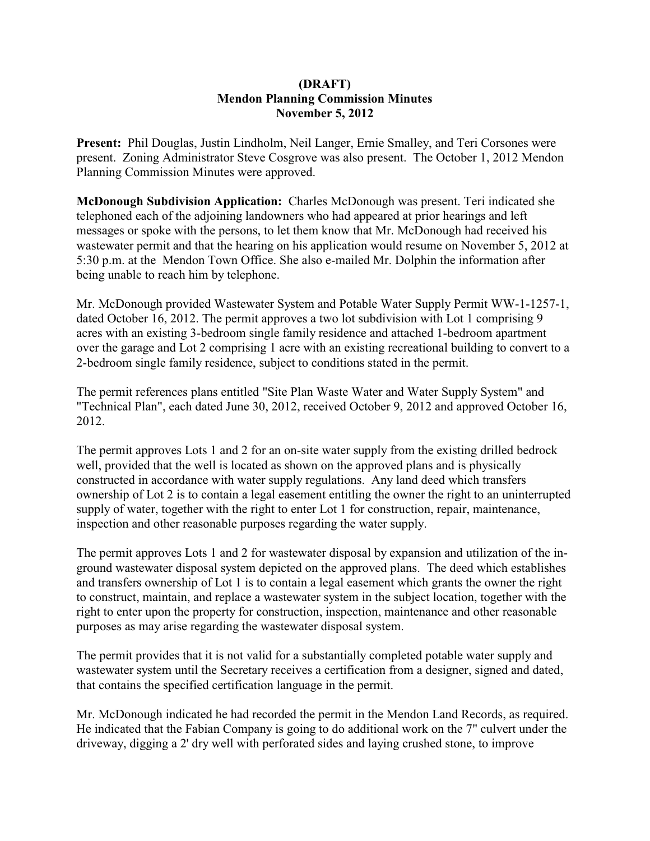## **(DRAFT) Mendon Planning Commission Minutes November 5, 2012**

**Present:** Phil Douglas, Justin Lindholm, Neil Langer, Ernie Smalley, and Teri Corsones were present. Zoning Administrator Steve Cosgrove was also present. The October 1, 2012 Mendon Planning Commission Minutes were approved.

**McDonough Subdivision Application:** Charles McDonough was present. Teri indicated she telephoned each of the adjoining landowners who had appeared at prior hearings and left messages or spoke with the persons, to let them know that Mr. McDonough had received his wastewater permit and that the hearing on his application would resume on November 5, 2012 at 5:30 p.m. at the Mendon Town Office. She also e-mailed Mr. Dolphin the information after being unable to reach him by telephone.

Mr. McDonough provided Wastewater System and Potable Water Supply Permit WW-1-1257-1, dated October 16, 2012. The permit approves a two lot subdivision with Lot 1 comprising 9 acres with an existing 3-bedroom single family residence and attached 1-bedroom apartment over the garage and Lot 2 comprising 1 acre with an existing recreational building to convert to a 2-bedroom single family residence, subject to conditions stated in the permit.

The permit references plans entitled "Site Plan Waste Water and Water Supply System" and "Technical Plan", each dated June 30, 2012, received October 9, 2012 and approved October 16, 2012.

The permit approves Lots 1 and 2 for an on-site water supply from the existing drilled bedrock well, provided that the well is located as shown on the approved plans and is physically constructed in accordance with water supply regulations. Any land deed which transfers ownership of Lot 2 is to contain a legal easement entitling the owner the right to an uninterrupted supply of water, together with the right to enter Lot 1 for construction, repair, maintenance, inspection and other reasonable purposes regarding the water supply.

The permit approves Lots 1 and 2 for wastewater disposal by expansion and utilization of the inground wastewater disposal system depicted on the approved plans. The deed which establishes and transfers ownership of Lot 1 is to contain a legal easement which grants the owner the right to construct, maintain, and replace a wastewater system in the subject location, together with the right to enter upon the property for construction, inspection, maintenance and other reasonable purposes as may arise regarding the wastewater disposal system.

The permit provides that it is not valid for a substantially completed potable water supply and wastewater system until the Secretary receives a certification from a designer, signed and dated, that contains the specified certification language in the permit.

Mr. McDonough indicated he had recorded the permit in the Mendon Land Records, as required. He indicated that the Fabian Company is going to do additional work on the 7" culvert under the driveway, digging a 2' dry well with perforated sides and laying crushed stone, to improve